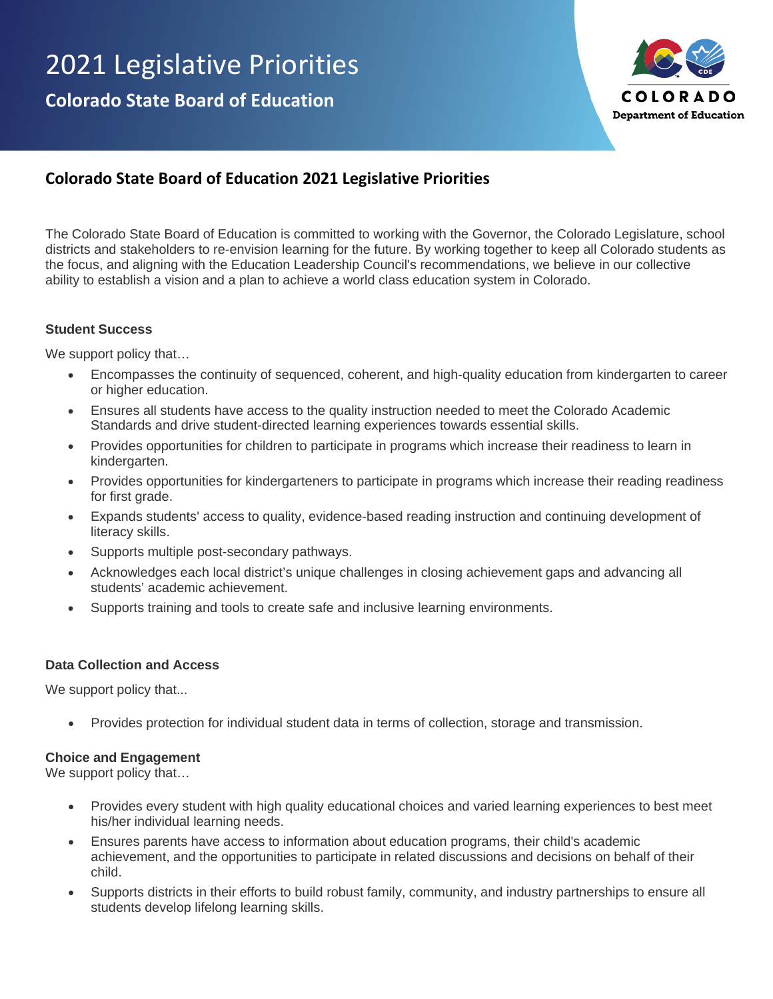

# **Colorado State Board of Education 2021 Legislative Priorities**

The Colorado State Board of Education is committed to working with the Governor, the Colorado Legislature, school districts and stakeholders to re-envision learning for the future. By working together to keep all Colorado students as the focus, and aligning with the Education Leadership Council's recommendations, we believe in our collective ability to establish a vision and a plan to achieve a world class education system in Colorado.

#### **Student Success**

We support policy that...

- Encompasses the continuity of sequenced, coherent, and high-quality education from kindergarten to career or higher education.
- Ensures all students have access to the quality instruction needed to meet the Colorado Academic Standards and drive student-directed learning experiences towards essential skills.
- Provides opportunities for children to participate in programs which increase their readiness to learn in kindergarten.
- Provides opportunities for kindergarteners to participate in programs which increase their reading readiness for first grade.
- Expands students' access to quality, evidence-based reading instruction and continuing development of literacy skills.
- Supports multiple post-secondary pathways.
- Acknowledges each local district's unique challenges in closing achievement gaps and advancing all students' academic achievement.
- Supports training and tools to create safe and inclusive learning environments.

#### **Data Collection and Access**

We support policy that...

• Provides protection for individual student data in terms of collection, storage and transmission.

#### **Choice and Engagement**

We support policy that...

- Provides every student with high quality educational choices and varied learning experiences to best meet his/her individual learning needs.
- Ensures parents have access to information about education programs, their child's academic achievement, and the opportunities to participate in related discussions and decisions on behalf of their child.
- Supports districts in their efforts to build robust family, community, and industry partnerships to ensure all students develop lifelong learning skills.